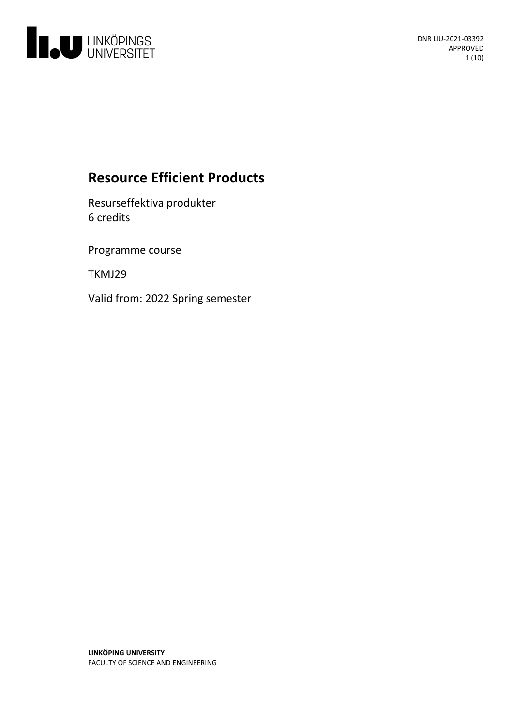

# **Resource Efficient Products**

Resurseffektiva produkter 6 credits

Programme course

TKMJ29

Valid from: 2022 Spring semester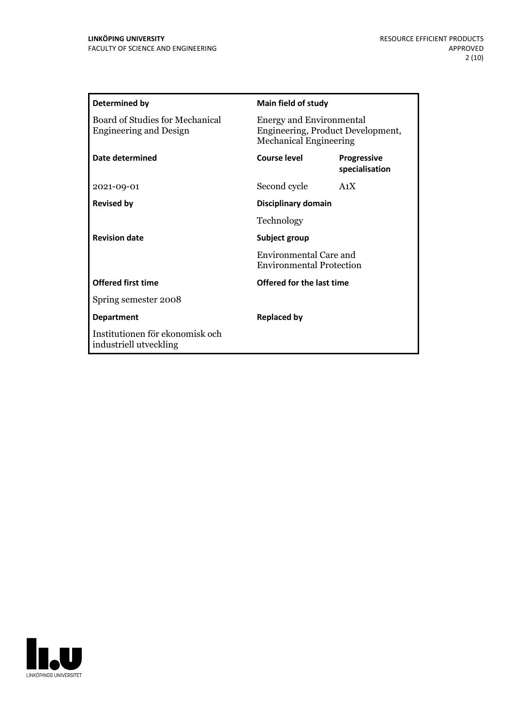| Determined by                                                    | <b>Main field of study</b>                                                                            |                                      |
|------------------------------------------------------------------|-------------------------------------------------------------------------------------------------------|--------------------------------------|
| Board of Studies for Mechanical<br><b>Engineering and Design</b> | <b>Energy and Environmental</b><br>Engineering, Product Development,<br><b>Mechanical Engineering</b> |                                      |
| Date determined                                                  | Course level                                                                                          | <b>Progressive</b><br>specialisation |
| 2021-09-01                                                       | Second cycle                                                                                          | A <sub>1</sub> X                     |
| <b>Revised by</b>                                                | Disciplinary domain                                                                                   |                                      |
|                                                                  | Technology                                                                                            |                                      |
| <b>Revision date</b>                                             | Subject group<br><b>Environmental Care and</b><br><b>Environmental Protection</b>                     |                                      |
|                                                                  |                                                                                                       |                                      |
| <b>Offered first time</b>                                        | Offered for the last time                                                                             |                                      |
| Spring semester 2008                                             |                                                                                                       |                                      |
| <b>Department</b>                                                | <b>Replaced by</b>                                                                                    |                                      |
| Institutionen för ekonomisk och<br>industriell utveckling        |                                                                                                       |                                      |

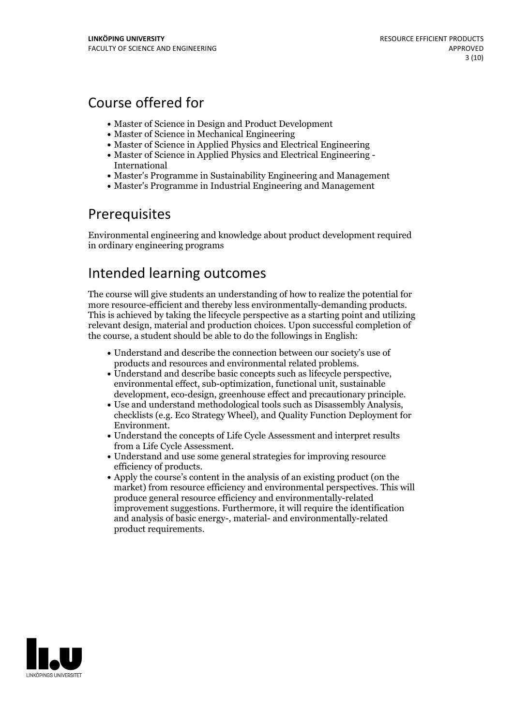## Course offered for

- Master of Science in Design and Product Development
- Master of Science in Mechanical Engineering
- Master of Science in Applied Physics and Electrical Engineering
- Master of Science in Applied Physics and Electrical Engineering International
- Master's Programme in Sustainability Engineering and Management
- Master's Programme in Industrial Engineering and Management

## Prerequisites

Environmental engineering and knowledge about product development required in ordinary engineering programs

## Intended learning outcomes

The course will give students an understanding of how to realize the potential for more resource-efficient and thereby less environmentally-demanding products. This is achieved by taking the lifecycle perspective as <sup>a</sup> starting point and utilizing relevant design, material and production choices. Upon successful completion of the course, a student should be able to do the followings in English:

- Understand and describe the connection between our society's use of
- $\bullet$  Understand and describe basic concepts such as lifecycle perspective, environmental effect, sub-optimization, functional unit, sustainable
- development, eco-design, greenhouse effect and precautionary principle.<br>• Use and understand methodological tools such as Disassembly Analysis, checklists (e.g. Eco Strategy Wheel), and Quality Function Deployment for
- Environment. Understand the concepts of Life Cycle Assessment and interpret results from a Life Cycle Assessment.<br>• Understand and use some general strategies for improving resource
- 
- efficiency of products.<br>• Apply the course's content in the analysis of an existing product (on the market) from resource efficiency and environmental perspectives. This will produce general resource efficiency and environmentally-related improvement suggestions. Furthermore, it will require the identification and analysis of basic energy-, material- and environmentally-related product requirements.

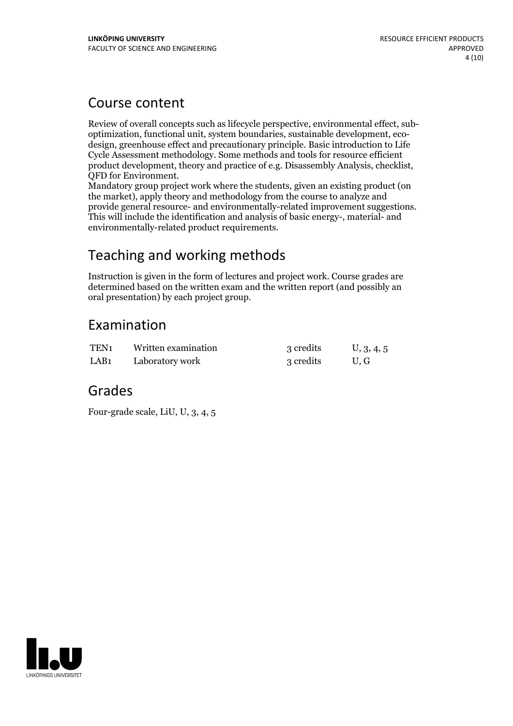## Course content

Review of overall concepts such as lifecycle perspective, environmental effect, sub-<br>optimization, functional unit, system boundaries, sustainable development, eco-<br>design, greenhouse effect and precautionary principle. Ba Cycle Assessment methodology. Some methods and tools for resource efficient

QFD for Environment.<br>Mandatory group project work where the students, given an existing product (on the market), apply theory and methodology from the course to analyze and provide general resource- and environmentally-related improvement suggestions. This will include the identification and analysis of basic energy-, material- and environmentally-related product requirements.

# Teaching and working methods

Instruction is given in the form of lectures and project work. Course grades are determined based on the written exam and the written report (and possibly an oral presentation) by each project group.

# Examination

| TEN <sub>1</sub> | Written examination | 3 credits | U, 3, 4, 5 |
|------------------|---------------------|-----------|------------|
| LAB <sub>1</sub> | Laboratory work     | 3 credits | U.G        |

## Grades

Four-grade scale, LiU, U, 3, 4, 5

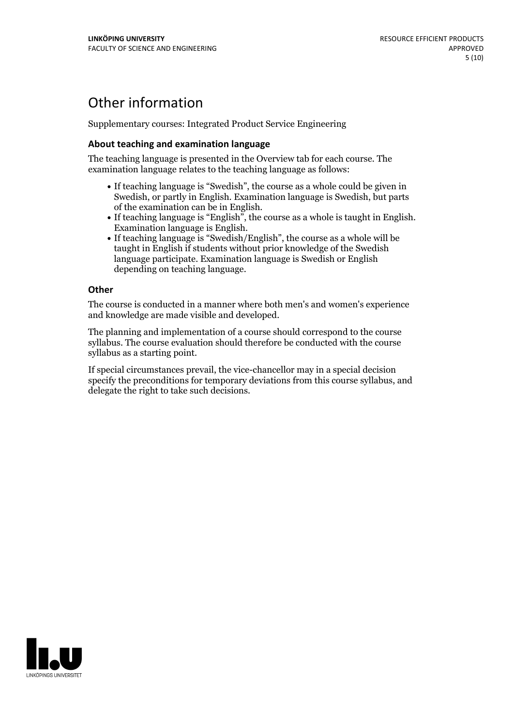## Other information

Supplementary courses: Integrated Product Service Engineering

### **About teaching and examination language**

The teaching language is presented in the Overview tab for each course. The examination language relates to the teaching language as follows:

- If teaching language is "Swedish", the course as a whole could be given in Swedish, or partly in English. Examination language is Swedish, but parts
- of the examination can be in English. If teaching language is "English", the course as <sup>a</sup> whole is taught in English. Examination language is English. If teaching language is "Swedish/English", the course as <sup>a</sup> whole will be
- taught in English if students without prior knowledge of the Swedish language participate. Examination language is Swedish or English depending on teaching language.

#### **Other**

The course is conducted in a manner where both men's and women's experience and knowledge are made visible and developed.

The planning and implementation of a course should correspond to the course syllabus. The course evaluation should therefore be conducted with the course syllabus as a starting point.

If special circumstances prevail, the vice-chancellor may in a special decision specify the preconditions for temporary deviations from this course syllabus, and delegate the right to take such decisions.

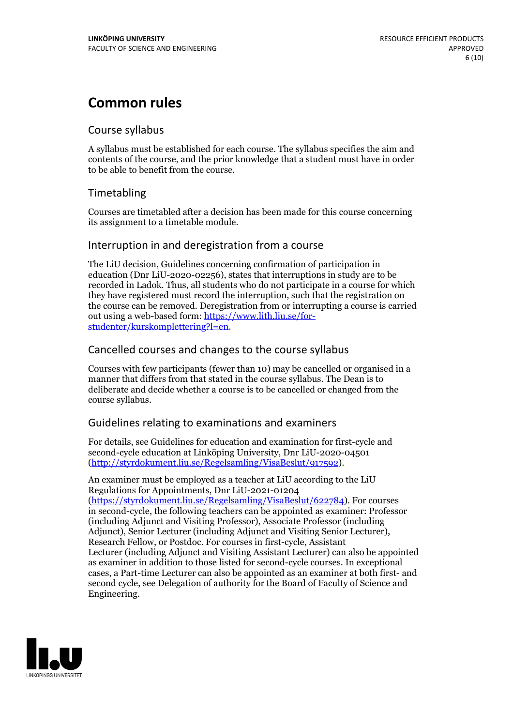## **Common rules**

### Course syllabus

A syllabus must be established for each course. The syllabus specifies the aim and contents of the course, and the prior knowledge that a student must have in order to be able to benefit from the course.

## Timetabling

Courses are timetabled after a decision has been made for this course concerning its assignment to a timetable module.

### Interruption in and deregistration from a course

The LiU decision, Guidelines concerning confirmation of participation in education (Dnr LiU-2020-02256), states that interruptions in study are to be recorded in Ladok. Thus, all students who do not participate in a course for which they have registered must record the interruption, such that the registration on the course can be removed. Deregistration from or interrupting a course is carried out using <sup>a</sup> web-based form: https://www.lith.liu.se/for- [studenter/kurskomplettering?l=en.](https://www.lith.liu.se/for-studenter/kurskomplettering?l=en)

## Cancelled courses and changes to the course syllabus

Courses with few participants (fewer than 10) may be cancelled or organised in a manner that differs from that stated in the course syllabus. The Dean is to deliberate and decide whether a course is to be cancelled or changed from the course syllabus.

## Guidelines relating to examinations and examiners

For details, see Guidelines for education and examination for first-cycle and second-cycle education at Linköping University, Dnr LiU-2020-04501 [\(http://styrdokument.liu.se/Regelsamling/VisaBeslut/917592\)](http://styrdokument.liu.se/Regelsamling/VisaBeslut/917592).

An examiner must be employed as a teacher at LiU according to the LiU Regulations for Appointments, Dnr LiU-2021-01204 [\(https://styrdokument.liu.se/Regelsamling/VisaBeslut/622784](https://styrdokument.liu.se/Regelsamling/VisaBeslut/622784)). For courses in second-cycle, the following teachers can be appointed as examiner: Professor (including Adjunct and Visiting Professor), Associate Professor (including Adjunct), Senior Lecturer (including Adjunct and Visiting Senior Lecturer), Research Fellow, or Postdoc. For courses in first-cycle, Assistant Lecturer (including Adjunct and Visiting Assistant Lecturer) can also be appointed as examiner in addition to those listed for second-cycle courses. In exceptional cases, a Part-time Lecturer can also be appointed as an examiner at both first- and second cycle, see Delegation of authority for the Board of Faculty of Science and Engineering.

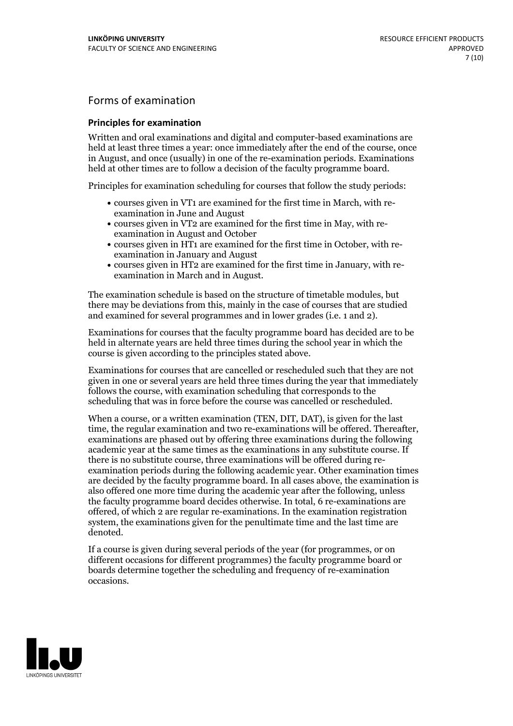## Forms of examination

#### **Principles for examination**

Written and oral examinations and digital and computer-based examinations are held at least three times a year: once immediately after the end of the course, once in August, and once (usually) in one of the re-examination periods. Examinations held at other times are to follow a decision of the faculty programme board.

Principles for examination scheduling for courses that follow the study periods:

- courses given in VT1 are examined for the first time in March, with re-examination in June and August
- courses given in VT2 are examined for the first time in May, with re-examination in August and October
- courses given in HT1 are examined for the first time in October, with re-examination in January and August
- courses given in HT2 are examined for the first time in January, with re-examination in March and in August.

The examination schedule is based on the structure of timetable modules, but there may be deviations from this, mainly in the case of courses that are studied and examined for several programmes and in lower grades (i.e. 1 and 2).

Examinations for courses that the faculty programme board has decided are to be held in alternate years are held three times during the school year in which the course is given according to the principles stated above.

Examinations for courses that are cancelled orrescheduled such that they are not given in one or several years are held three times during the year that immediately follows the course, with examination scheduling that corresponds to the scheduling that was in force before the course was cancelled or rescheduled.

When a course, or a written examination (TEN, DIT, DAT), is given for the last time, the regular examination and two re-examinations will be offered. Thereafter, examinations are phased out by offering three examinations during the following academic year at the same times as the examinations in any substitute course. If there is no substitute course, three examinations will be offered during re- examination periods during the following academic year. Other examination times are decided by the faculty programme board. In all cases above, the examination is also offered one more time during the academic year after the following, unless the faculty programme board decides otherwise. In total, 6 re-examinations are offered, of which 2 are regular re-examinations. In the examination registration system, the examinations given for the penultimate time and the last time are denoted.

If a course is given during several periods of the year (for programmes, or on different occasions for different programmes) the faculty programme board or boards determine together the scheduling and frequency of re-examination occasions.

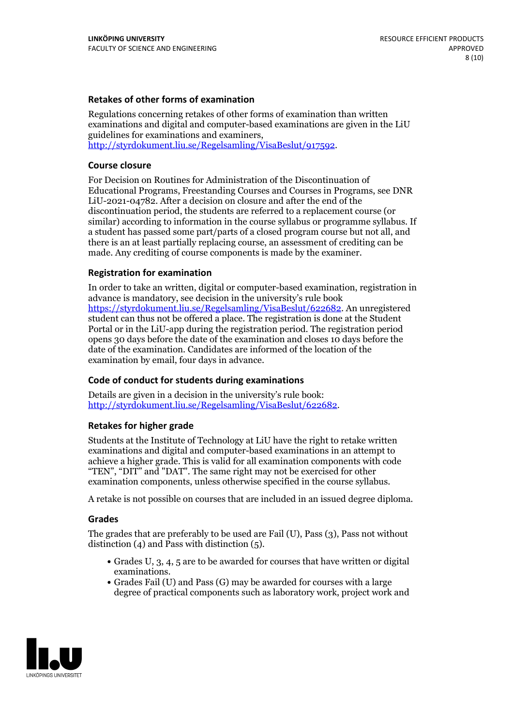### **Retakes of other forms of examination**

Regulations concerning retakes of other forms of examination than written examinations and digital and computer-based examinations are given in the LiU guidelines for examinations and examiners, [http://styrdokument.liu.se/Regelsamling/VisaBeslut/917592.](http://styrdokument.liu.se/Regelsamling/VisaBeslut/917592)

#### **Course closure**

For Decision on Routines for Administration of the Discontinuation of Educational Programs, Freestanding Courses and Courses in Programs, see DNR LiU-2021-04782. After a decision on closure and after the end of the discontinuation period, the students are referred to a replacement course (or similar) according to information in the course syllabus or programme syllabus. If a student has passed some part/parts of a closed program course but not all, and there is an at least partially replacing course, an assessment of crediting can be made. Any crediting of course components is made by the examiner.

### **Registration for examination**

In order to take an written, digital or computer-based examination, registration in advance is mandatory, see decision in the university's rule book [https://styrdokument.liu.se/Regelsamling/VisaBeslut/622682.](https://styrdokument.liu.se/Regelsamling/VisaBeslut/622682) An unregistered student can thus not be offered a place. The registration is done at the Student Portal or in the LiU-app during the registration period. The registration period opens 30 days before the date of the examination and closes 10 days before the date of the examination. Candidates are informed of the location of the examination by email, four days in advance.

### **Code of conduct for students during examinations**

Details are given in a decision in the university's rule book: <http://styrdokument.liu.se/Regelsamling/VisaBeslut/622682>.

#### **Retakes for higher grade**

Students at the Institute of Technology at LiU have the right to retake written examinations and digital and computer-based examinations in an attempt to achieve a higher grade. This is valid for all examination components with code "TEN", "DIT" and "DAT". The same right may not be exercised for other examination components, unless otherwise specified in the course syllabus.

A retake is not possible on courses that are included in an issued degree diploma.

#### **Grades**

The grades that are preferably to be used are Fail (U), Pass (3), Pass not without distinction  $(4)$  and Pass with distinction  $(5)$ .

- Grades U, 3, 4, 5 are to be awarded for courses that have written or digital examinations.<br>• Grades Fail (U) and Pass (G) may be awarded for courses with a large
- degree of practical components such as laboratory work, project work and

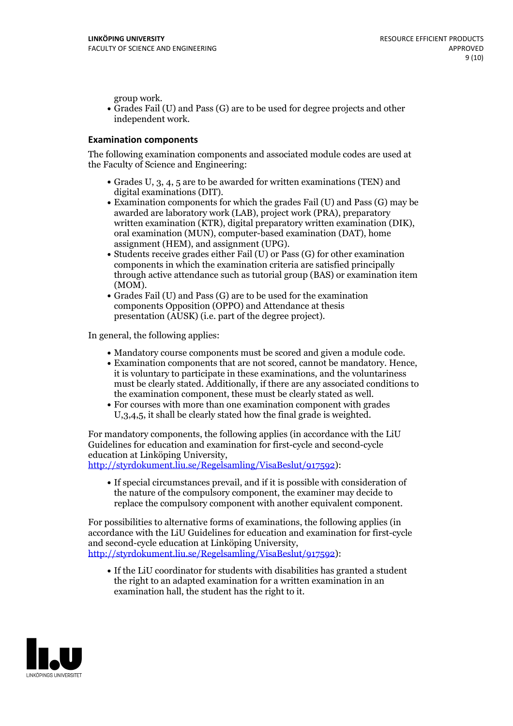group work.<br>• Grades Fail (U) and Pass (G) are to be used for degree projects and other independent work.

### **Examination components**

The following examination components and associated module codes are used at the Faculty of Science and Engineering:

- Grades U, 3, 4, 5 are to be awarded for written examinations (TEN) and
- digital examinations (DIT).<br>• Examination components for which the grades Fail (U) and Pass (G) may be awarded are laboratory work (LAB), project work (PRA), preparatory written examination (KTR), digital preparatory written examination (DIK), oral examination (MUN), computer-based examination (DAT), home
- assignment (HEM), and assignment (UPG).<br>• Students receive grades either Fail (U) or Pass (G) for other examination components in which the examination criteria are satisfied principally through active attendance such as tutorial group (BAS) or examination item
- (MOM).<br>• Grades Fail (U) and Pass (G) are to be used for the examination components Opposition (OPPO) and Attendance at thesis presentation (AUSK) (i.e. part of the degree project).

In general, the following applies:

- 
- Mandatory course components must be scored and given <sup>a</sup> module code. Examination components that are not scored, cannot be mandatory. Hence, it is voluntary to participate in these examinations, and the voluntariness must be clearly stated. Additionally, if there are any associated conditions to
- the examination component, these must be clearly stated as well.<br>• For courses with more than one examination component with grades U,3,4,5, it shall be clearly stated how the final grade is weighted.

For mandatory components, the following applies (in accordance with the LiU Guidelines for education and examination for first-cycle and second-cycle education at Linköping University,<br>[http://styrdokument.liu.se/Regelsamling/VisaBeslut/917592\)](http://styrdokument.liu.se/Regelsamling/VisaBeslut/917592):

If special circumstances prevail, and if it is possible with consideration of the nature of the compulsory component, the examiner may decide to replace the compulsory component with another equivalent component.

For possibilities to alternative forms of examinations, the following applies (in accordance with the LiU Guidelines for education and examination for first-cycle [http://styrdokument.liu.se/Regelsamling/VisaBeslut/917592\)](http://styrdokument.liu.se/Regelsamling/VisaBeslut/917592):

If the LiU coordinator for students with disabilities has granted a student the right to an adapted examination for a written examination in an examination hall, the student has the right to it.